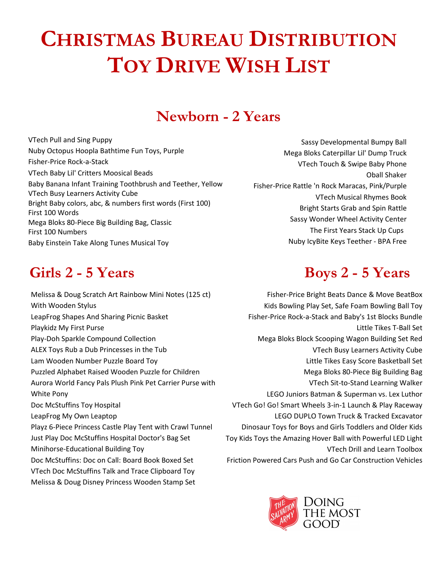# **CHRISTMAS BUREAU DISTRIBUTION TOY DRIVE WISH LIST**

## **Newborn - 2 Years**

[VTech Pull and Sing Puppy](https://www.amazon.com/dp/B01MQ3YP7Y/_encoding=UTF8?coliid=I35EI9TPRFMLPM&colid=32EVBTJIADGGS) Nuby Octopus Hoopla Bathtime Fun Toys, Purple Fisher-Price Rock-a-Stack [VTech Baby Lil' Critters Moosical Beads](https://www.amazon.com/dp/B00TH0NMUY/_encoding=UTF8?coliid=I149Z482XGMCQD&colid=32EVBTJIADGGS) Baby Banana Infant Training Toothbrush and Teether, Yellow VTech Busy Learners Activity Cube [Bright Baby colors, abc, & numbers first words \(First 100\)](https://www.amazon.com/dp/0312502192/_encoding=UTF8?coliid=I2CPBJ7GC6BU06&colid=32EVBTJIADGGS) [First 100 Words](https://www.amazon.com/dp/0312510780/_encoding=UTF8?coliid=I3EFG3YR6GJNW5&colid=32EVBTJIADGGS) [Mega Bloks 80-Piece Big Building Bag, Classic](https://www.amazon.com/dp/B007GE75HY/_encoding=UTF8?coliid=I3NZT8QDRSGJMQ&colid=32EVBTJIADGGS) [First 100 Numbers](https://www.amazon.com/dp/0312522827/_encoding=UTF8?coliid=I30QIV379ID36T&colid=32EVBTJIADGGS) [Baby Einstein Take Along Tunes Musical Toy](https://www.amazon.com/dp/B000YDDF6O/_encoding=UTF8?coliid=I3ABTF4N5VN0HX&colid=32EVBTJIADGGS)

### **Girls 2 - 5 Years Boys 2 - 5 Years**

Melissa & Doug Scratch Art Rainbow Mini Notes (125 ct) With Wooden Stylus LeapFrog Shapes And Sharing Picnic Basket Playkidz My First Purse Play-Doh Sparkle Compound Collection [ALEX Toys Rub a Dub Princesses in the Tub](https://www.amazon.com/dp/B00PM2IZV2/_encoding=UTF8?coliid=I3GU4Z2K5SB71U&colid=33P5DB9BTF1GH) Lam Wooden Number Puzzle Board Toy [Puzzled Alphabet Raised Wooden Puzzle for Children](https://www.amazon.com/dp/B004MQ4PK4/_encoding=UTF8?coliid=IR231Z3ZBFG4N&colid=33P5DB9BTF1GH) Aurora World Fancy Pals Plush Pink Pet Carrier Purse with White Pony [Doc McStuffins Toy Hospital](https://www.amazon.com/dp/B01D8YMX90/_encoding=UTF8?coliid=I1LHJ2PJC3487G&colid=33P5DB9BTF1GH) LeapFrog My Own Leaptop Playz 6-Piece Princess Castle Play Tent with Crawl Tunnel [Just Play Doc McStuffins Hospital Doctor's Bag Set](https://www.amazon.com/dp/B01CQJ110K/_encoding=UTF8?coliid=I1HMAUS1FU990V&colid=33P5DB9BTF1GH) Minihorse-Educational Building Toy [Doc McStuffins: Doc on Call: Board Book Boxed Set](https://www.amazon.com/dp/148472187X/_encoding=UTF8?coliid=I1PL6NGYDMI9O5&colid=33P5DB9BTF1GH) [VTech Doc McStuffins Talk and Trace Clipboard Toy](https://www.amazon.com/dp/B00CMNX5VE/_encoding=UTF8?coliid=I2ODWYJSX9E9PB&colid=33P5DB9BTF1GH) [Melissa & Doug Disney Princess Wooden Stamp Set](https://www.amazon.com/dp/B00P2SKHQ2/_encoding=UTF8?coliid=I3FQCJXHGEMWV8&colid=33P5DB9BTF1GH)

Sassy Developmental Bumpy Ball [Mega Bloks Caterpillar Lil' Dump Truck](https://www.amazon.com/dp/B0083F2ZIY/_encoding=UTF8?coliid=I2A16MIBOGGYX5&colid=32EVBTJIADGGS) VTech Touch & Swipe Baby Phone Oball Shaker [Fisher-Price Rattle 'n Rock Maracas, Pink/Purple](https://www.amazon.com/dp/B00FBW7CNA/_encoding=UTF8?coliid=IZEBENM0VLDN&colid=32EVBTJIADGGS) [VTech Musical Rhymes Book](https://www.amazon.com/dp/B00TEF3GSA/_encoding=UTF8?coliid=I247JYEEDKY414&colid=32EVBTJIADGGS) [Bright Starts Grab and Spin Rattle](https://www.amazon.com/dp/B000FMQWS2/_encoding=UTF8?coliid=ISR7NSFQQV8DF&colid=32EVBTJIADGGS) [Sassy Wonder Wheel Activity Center](https://www.amazon.com/dp/B01KH9GGJM/_encoding=UTF8?coliid=I27CDBVG60HYK&colid=32EVBTJIADGGS) The First Years Stack Up Cups [Nuby IcyBite Keys Teether -](https://www.amazon.com/dp/B003N9M6YI/_encoding=UTF8?coliid=I2RMTBQCTU4JDT&colid=32EVBTJIADGGS) BPA Free

Fisher-Price Bright Beats Dance & Move BeatBox Kids Bowling Play Set, Safe Foam Bowling Ball Toy [Fisher-Price Rock-a-Stack and Baby's 1st Blocks Bundle](https://www.amazon.com/dp/B00E1AEERK/_encoding=UTF8?coliid=I3P35MF865DAW7&colid=UM2S2AIUA5G6) [Little Tikes T-Ball Set](https://www.amazon.com/dp/B01FVVKY08/_encoding=UTF8?coliid=I2ME8IVA8R9EGU&colid=UM2S2AIUA5G6) [Mega Bloks Block Scooping Wagon Building Set Red](https://www.amazon.com/dp/B00U26LQDC/_encoding=UTF8?coliid=I3H91S4VDAHQLO&colid=UM2S2AIUA5G6) [VTech Busy Learners Activity Cube](https://www.amazon.com/dp/B00HD3T1QQ/_encoding=UTF8?coliid=I3K1DJRCK991H8&colid=UM2S2AIUA5G6) Little Tikes Easy Score Basketball Set [Mega Bloks 80-Piece Big Building Bag](https://www.amazon.com/dp/B007GE75HY/_encoding=UTF8?coliid=I3CFVHRJYVH58M&colid=UM2S2AIUA5G6) [VTech Sit-to-Stand Learning Walker](https://www.amazon.com/dp/B000NZQ010/_encoding=UTF8?coliid=I39ZU6XX46SYPB&colid=UM2S2AIUA5G6) LEGO Juniors Batman & Superman vs. Lex Luthor [VTech Go! Go! Smart Wheels 3-in-1 Launch &](https://www.amazon.com/dp/B00R5MPDQM/_encoding=UTF8?coliid=I243S3SARJ9JF5&colid=UM2S2AIUA5G6) Play Raceway LEGO DUPLO Town Truck & Tracked Excavator Dinosaur Toys for Boys and Girls Toddlers and Older Kids Toy [Kids Toys the Amazing Hover Ball with Powerful LED Light](https://www.amazon.com/dp/B073B8SJG1/_encoding=UTF8?coliid=IZA0AKHEHIDCY&colid=UM2S2AIUA5G6)  [VTech Drill and Learn Toolbox](https://www.amazon.com/dp/B073B8SJG1/_encoding=UTF8?coliid=IZA0AKHEHIDCY&colid=UM2S2AIUA5G6) [Friction Powered Cars Push and Go Car Construction Vehicles](https://www.amazon.com/dp/B073B8SJG1/_encoding=UTF8?coliid=IZA0AKHEHIDCY&colid=UM2S2AIUA5G6)